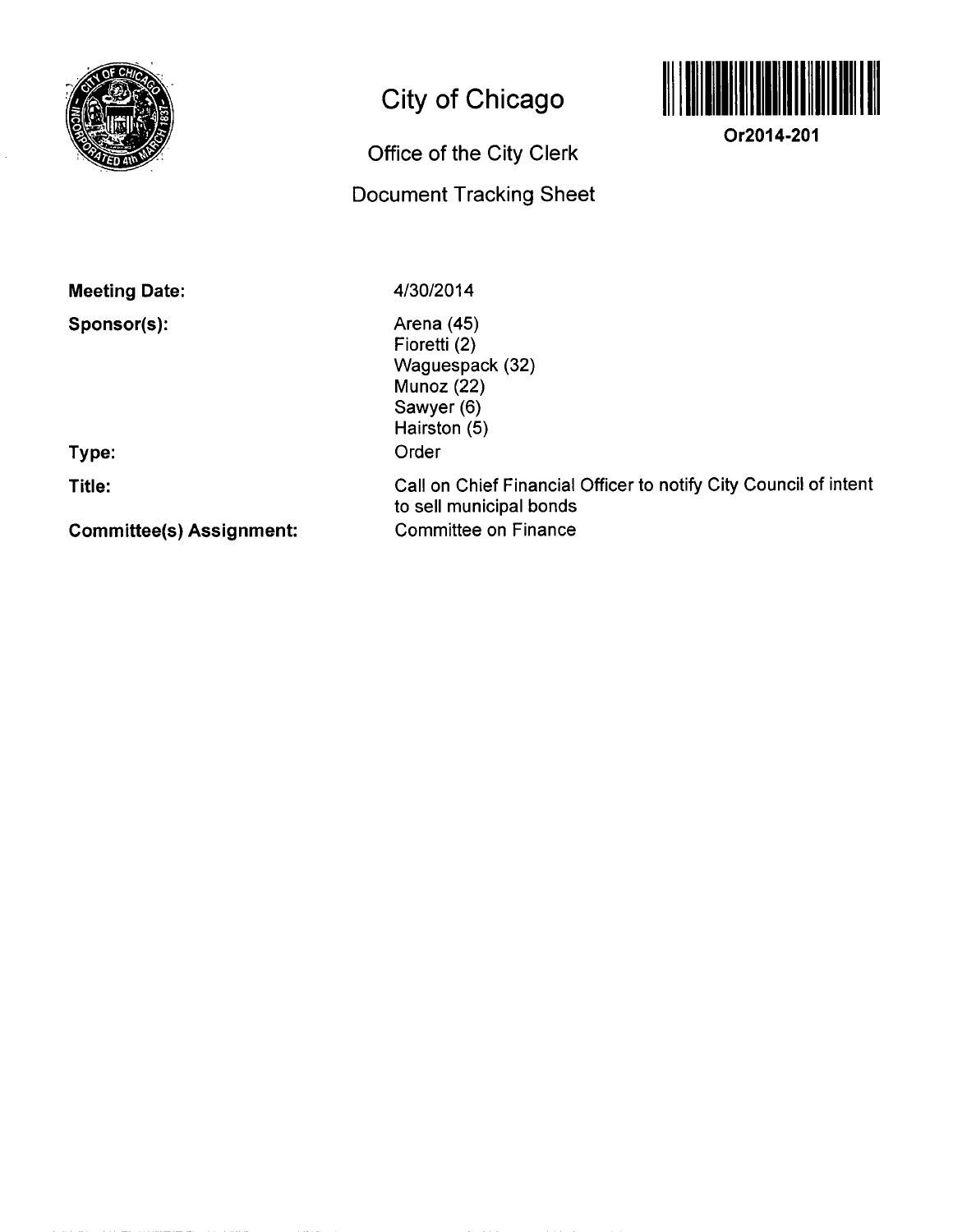

## **City of Chicago**



**Or2014-201** 

## **Office of the City Clerk**

## **Document Tracking Sheet**

**Meeting Date:** 

**Sponsor(s):** 

4/30/2014

Arena (45) Fioretti<sup>(2)</sup> Waguespack (32) Munoz (22) Sawyer (6) Hairston (5) Order Call on Chief Financial Officer to notify City Council of intent to sell municipal bonds

Committee on Finance

**Type:** 

**Title:** 

**Committee(s) Assignment:**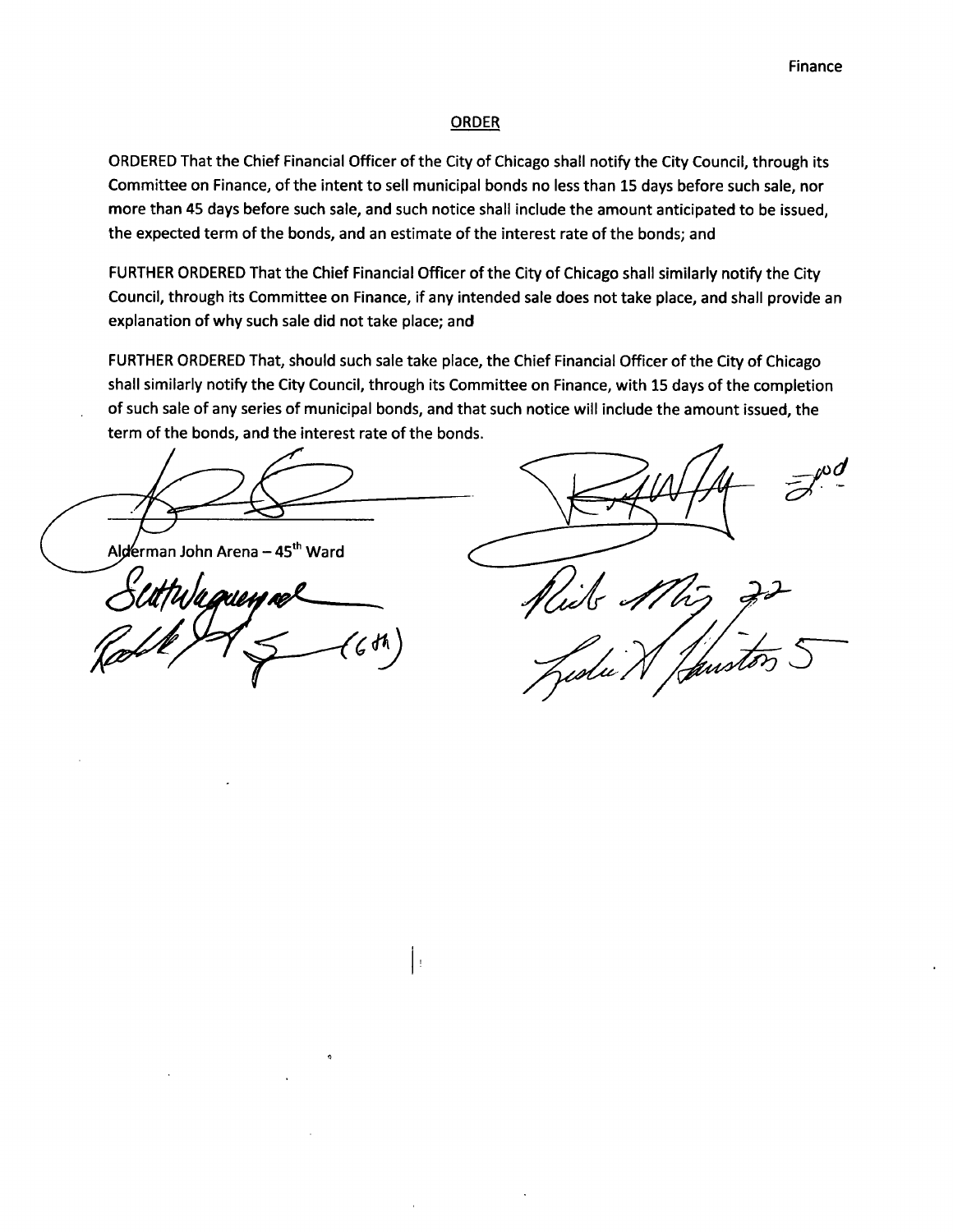## ORDER

ORDERED That the Chief Financial Officer of the City of Chicago shall notify the City Council, through its Committee on Finance, ofthe intent to sell municipal bonds no less than 15 days before such sale, nor more than 45 days before such sale, and such notice shall include the amount anticipated to be issued, the expected term of the bonds, and an estimate of the interest rate of the bonds; and

FURTHER ORDERED That the Chief Financial Officer of the City of Chicago shall similarly notify the City Council, through its Committee on Finance, if any intended sale does not take place, and shall provide an explanation of why such sale did not take place; and

FURTHER ORDERED That, should such sale take place, the Chief Financial Officer of the City of Chicago shall similarly notify the City Council, through its Committee on Finance, with 15 days of the completion of such sale of any series of municipal bonds, and that such notice will include the amount issued, the term of the bonds, and the interest rate of the bonds.

Į.

Alderman John Arena - 45<sup>th</sup> Ward